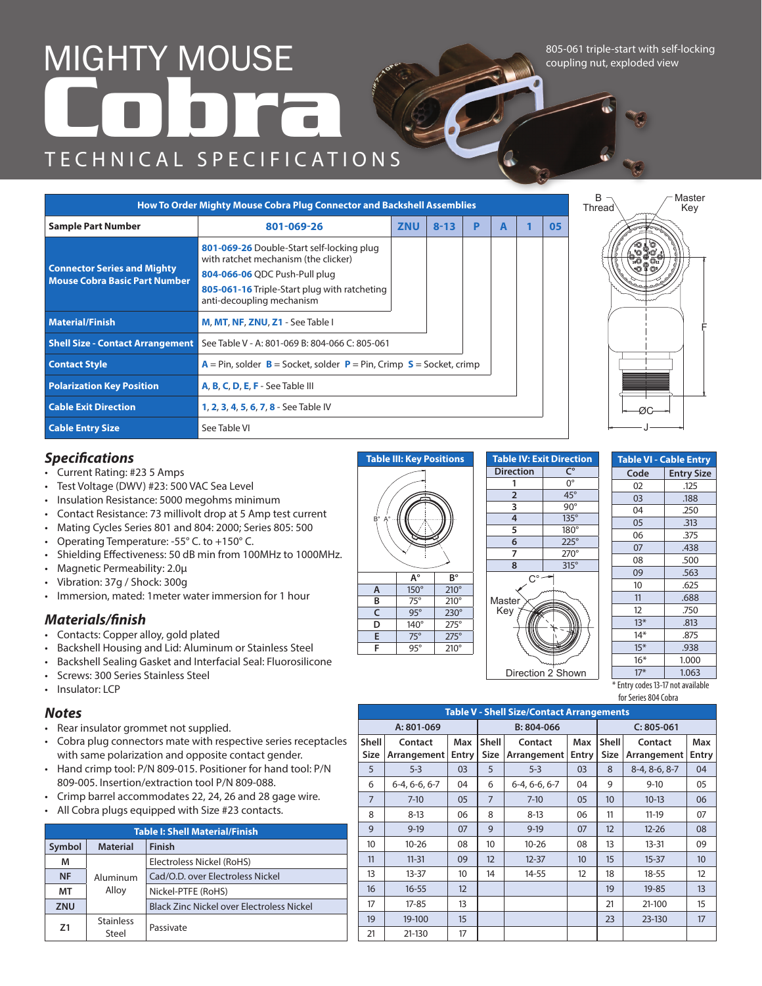## TECHNICAL SPECIFICATIONS MIGHTY\_MOUSE **Cobra**<br>**Cobra**<br>**Cobra**

805-061 triple-start with self-locking coupling nut, exploded view

|                                                                            | How To Order Mighty Mouse Cobra Plug Connector and Backshell Assemblies                                                                                                                         |            |          |   |   |    |
|----------------------------------------------------------------------------|-------------------------------------------------------------------------------------------------------------------------------------------------------------------------------------------------|------------|----------|---|---|----|
| <b>Sample Part Number</b>                                                  | 801-069-26                                                                                                                                                                                      | <b>ZNU</b> | $8 - 13$ | P | A | 05 |
| <b>Connector Series and Mighty</b><br><b>Mouse Cobra Basic Part Number</b> | 801-069-26 Double-Start self-locking plug<br>with ratchet mechanism (the clicker)<br>804-066-06 QDC Push-Pull plug<br>805-061-16 Triple-Start plug with ratcheting<br>anti-decoupling mechanism |            |          |   |   |    |
| <b>Material/Finish</b>                                                     | M, MT, NF, ZNU, Z1 - See Table I                                                                                                                                                                |            |          |   |   |    |
|                                                                            | <b>Shell Size - Contact Arrangement</b> See Table V - A: 801-069 B: 804-066 C: 805-061                                                                                                          |            |          |   |   |    |
| <b>Contact Style</b>                                                       | $A = Pin$ , solder $B = S$ ocket, solder $P = Pin$ , Crimp $S = S$ ocket, crimp                                                                                                                 |            |          |   |   |    |
| <b>Polarization Key Position</b>                                           | A, B, C, D, E, F - See Table III                                                                                                                                                                |            |          |   |   |    |
| <b>Cable Exit Direction</b>                                                | <b>1, 2, 3, 4, 5, 6, 7, 8 - See Table IV</b>                                                                                                                                                    |            |          |   |   |    |
| <b>Cable Entry Size</b>                                                    | See Table VI                                                                                                                                                                                    |            |          |   |   |    |



## *Specifications*

- Current Rating: #23 5 Amps
- Test Voltage (DWV) #23: 500 VAC Sea Level
- Insulation Resistance: 5000 megohms minimum
- Contact Resistance: 73 millivolt drop at 5 Amp test current
- Mating Cycles Series 801 and 804: 2000; Series 805: 500
- Operating Temperature: -55° C. to +150° C.
- Shielding Effectiveness: 50 dB min from 100MHz to 1000MHz.
- Magnetic Permeability: 2.0µ
- Vibration: 37g / Shock: 300g
- Immersion, mated: 1meter water immersion for 1 hour

## *Materials/finish*

- Contacts: Copper alloy, gold plated
- Backshell Housing and Lid: Aluminum or Stainless Steel
- Backshell Sealing Gasket and Interfacial Seal: Fluorosilicone
- Screws: 300 Series Stainless Steel
- Insulator: LCP

## *Notes*

- Rear insulator grommet not supplied.
- Cobra plug connectors mate with respective series receptacles with same polarization and opposite contact gender.
- Hand crimp tool: P/N 809-015. Positioner for hand tool: P/N 809-005. Insertion/extraction tool P/N 809-088.
- Crimp barrel accommodates 22, 24, 26 and 28 gage wire.
- All Cobra plugs equipped with Size #23 contacts.

|            |                             | <b>Table I: Shell Material/Finish</b>            |  |  |  |  |  |  |
|------------|-----------------------------|--------------------------------------------------|--|--|--|--|--|--|
| Symbol     | <b>Material</b>             | <b>Finish</b>                                    |  |  |  |  |  |  |
| м          |                             | Electroless Nickel (RoHS)                        |  |  |  |  |  |  |
| <b>NF</b>  | Aluminum                    | Cad/O.D. over Electroless Nickel                 |  |  |  |  |  |  |
| МT         | Alloy<br>Nickel-PTFE (RoHS) |                                                  |  |  |  |  |  |  |
| <b>ZNU</b> |                             | <b>Black Zinc Nickel over Electroless Nickel</b> |  |  |  |  |  |  |
| 71         | <b>Stainless</b><br>Steel   | Passivate                                        |  |  |  |  |  |  |



**A° B° A** 150° 210°<br> **B** 75° 210° 75° 210°  $C$  95° 230° **D**  $140^\circ$   $275^\circ$ **E** 75° 275° **F** 95° 210°

B° A°



|       | <b>Table VI - Cable Entry</b> |
|-------|-------------------------------|
| Code  | <b>Entry Size</b>             |
| 02    | .125                          |
| 03    | .188                          |
| 04    | .250                          |
| 05    | .313                          |
| 06    | .375                          |
| 07    | .438                          |
| 08    | .500                          |
| 09    | .563                          |
| 10    | .625                          |
| 11    | .688                          |
| 12    | .750                          |
| $13*$ | .813                          |
| $14*$ | .875                          |
| $15*$ | .938                          |
| $16*$ | 1.000                         |
| $17*$ | 1.063                         |

\* Entry codes 13-17 not available for Series 804 Cobra

|                |                 |              |                | <b>Table V - Shell Size/Contact Arrangements</b> |       |                   |                |                  |
|----------------|-----------------|--------------|----------------|--------------------------------------------------|-------|-------------------|----------------|------------------|
|                | A: 801-069      |              |                | B: 804-066                                       |       |                   | $C: 805 - 061$ |                  |
| Shell          | Contact         | Max          | Shell          | Contact                                          | Max   | Shell             | Contact        | Max              |
| <b>Size</b>    | Arrangement     | <b>Entry</b> | <b>Size</b>    | Arrangement                                      | Entry | <b>Size</b>       | Arrangement    | Entry            |
| 5              | $5 - 3$         | 03           | 5              | $5 - 3$                                          | 03    | 8                 | 8-4, 8-6, 8-7  | 04               |
| 6              | $6-4, 6-6, 6-7$ | 04           | 6              | $6-4, 6-6, 6-7$                                  | 04    | 9                 | $9-10$         | 05               |
| $\overline{7}$ | $7 - 10$        | 05           | $\overline{7}$ | $7 - 10$                                         | 05    | 10                | $10-13$        | 06               |
| 8              | $8 - 13$        | 06           | 8              | $8-13$                                           | 06    | 11                | $11 - 19$      | 07               |
| 9              | $9-19$          | 07           | 9              | $9-19$                                           | 07    | $12 \overline{ }$ | $12 - 26$      | 08               |
| 10             | $10 - 26$       | 08           | 10             | $10 - 26$                                        | 08    | 13                | $13 - 31$      | 09               |
| 11             | $11 - 31$       | 09           | 12             | $12 - 37$                                        | 10    | 15                | $15 - 37$      | 10 <sup>10</sup> |
| 13             | $13 - 37$       | 10           | 14             | 14-55                                            | 12    | 18                | $18 - 55$      | 12               |
| 16             | $16 - 55$       | 12           |                |                                                  |       | 19                | $19 - 85$      | 13               |
| 17             | $17 - 85$       | 13           |                |                                                  |       | 21                | 21-100         | 15               |
| 19             | 19-100          | 15           |                |                                                  |       | 23                | 23-130         | 17               |
| 21             | 21-130          | 17           |                |                                                  |       |                   |                |                  |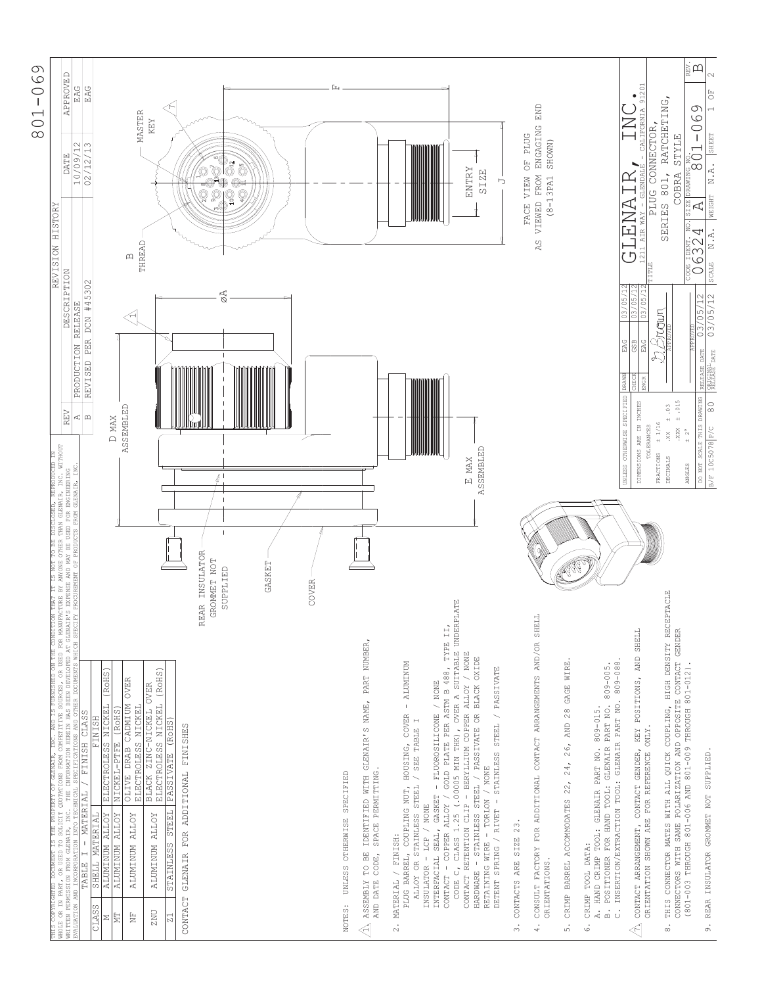

| APPROVED<br>EAG<br>EAG<br>$\supseteq$<br>$\infty$<br><b>DATE</b><br>10/09/<br>REVISION HISTORY                                                                                                                                                                           | <b>MASTER</b><br>KEY<br>12/<br>$\hat{\mathbb{S}}$<br>02/<br>g<br>THREAD<br>$\mathbf{\Omega}$                                                                                                                                                                                                                                                                                                                                                                         |                                                                                                                                                                | <b>ENTRY</b><br><b>SIZE</b><br>⋻                                                                                                                                                                                                                                                                                                                                                                                                                                                                                                                                                                                                  | END<br>VIEWED FROM ENGAGING<br>FACE VIEW OF PLUG<br>SHOWN)<br>$(8 - 13PA1$<br>AS.                                                                                                                                                | Α<br>LEN.<br>(5)                                                                                                                                                                                                   | - CALIFORNIA 91201<br>$\bullet$<br>PLUG CONNECTOR,<br>$\frac{1}{\sqrt{1+\frac{1}{2}}}$<br>Ч<br><b>NAY</b><br>AIR<br>1211 | RATCHETING,<br><b>STYLE</b><br>801,<br>COBRA<br>DRAWIN<br><b>SIZE</b><br>SERIES<br>is i                                                                                                                      | 国田<br>$\overline{\mathbb{C}}$<br>$\circ$<br>$\circ$<br>$\bigcirc$<br>SHEET<br>$\frac{1}{8}01$<br>N.A.<br>WEIGHT<br>$\overline{\mathcal{A}}$<br>≧U<br>≦U<br>≦W<br>E,<br>$\mathbb Z$<br>$\circ$ |
|--------------------------------------------------------------------------------------------------------------------------------------------------------------------------------------------------------------------------------------------------------------------------|----------------------------------------------------------------------------------------------------------------------------------------------------------------------------------------------------------------------------------------------------------------------------------------------------------------------------------------------------------------------------------------------------------------------------------------------------------------------|----------------------------------------------------------------------------------------------------------------------------------------------------------------|-----------------------------------------------------------------------------------------------------------------------------------------------------------------------------------------------------------------------------------------------------------------------------------------------------------------------------------------------------------------------------------------------------------------------------------------------------------------------------------------------------------------------------------------------------------------------------------------------------------------------------------|----------------------------------------------------------------------------------------------------------------------------------------------------------------------------------------------------------------------------------|--------------------------------------------------------------------------------------------------------------------------------------------------------------------------------------------------------------------|--------------------------------------------------------------------------------------------------------------------------|--------------------------------------------------------------------------------------------------------------------------------------------------------------------------------------------------------------|-----------------------------------------------------------------------------------------------------------------------------------------------------------------------------------------------|
| <b>DESCRIPTION</b><br>RELEASE<br>PRODUCTION<br>REV<br>⊲∣m                                                                                                                                                                                                                | #45302<br>ØA<br>DCN<br>PER<br>REVISED<br>ASSEMBLED<br>D MAX                                                                                                                                                                                                                                                                                                                                                                                                          |                                                                                                                                                                | <b>ASSEMBLED</b><br>E MAX                                                                                                                                                                                                                                                                                                                                                                                                                                                                                                                                                                                                         |                                                                                                                                                                                                                                  | $\frac{03/05/12}{03/05/12}$<br>EAG<br>DRAWN<br>UNLESS OTHERWISE SPECIFIED                                                                                                                                          | 03/05<br>GSB<br>EAG<br>DIMENSIONS ARE IN INCHES<br>TOLERANCES                                                            | Brawn<br>± .015<br>$60 +$<br>± 1/16<br>.888<br>$+ 2^{\circ}$<br>$XX$ .<br>FRACTIONS<br>DECIMALS<br>ANGLES                                                                                                    | SCALE<br>$\circ$<br>$\frac{03/05/12}{03/05/12}$<br>DATE<br>DATE<br>RELEASE<br>DO NOT SCALE THIS DRAWING<br>8<br>B/F 10C5078 P/C                                                               |
|                                                                                                                                                                                                                                                                          | REAR INSULATOR<br>GROMMET NOT<br>GASKET<br>SUPPLIED<br>COVER                                                                                                                                                                                                                                                                                                                                                                                                         |                                                                                                                                                                | TYPE II,                                                                                                                                                                                                                                                                                                                                                                                                                                                                                                                                                                                                                          |                                                                                                                                                                                                                                  | $809 - 088$ .                                                                                                                                                                                                      |                                                                                                                          | PTACLE                                                                                                                                                                                                       |                                                                                                                                                                                               |
| THIS COPRIGHTED DOCUMBNT IS THE PROFERTY OF GERMIR, INC. AND IS FURNISHED ON THE CONDITION THAT IT IS NOT TO BE DISCLOSED, REPRODUCED IN<br>NHOLE OR IN PART, OR USED TO SOLICIT QUOTATIONS FROM COMPETITUS SOURCES, OR USED FOR<br>I - MATERIAL / FINISH CLASS<br>TABLE | (ROHS)<br>(RoHS)<br><b>OVER</b><br>BLACK ZINC-NICKEL OVER<br>ELECTROLESS NICKEL<br>OLIVE DRAB CADMIUM<br>NICKEL<br>ELECTROLESS NICKEL<br>(ROHS)<br><b>FINISH</b><br>STAINLESS STEEL PASSIVATE (ROHS)<br>FOR ADDITIONAL FINISHES<br>NICKEL-PTFE<br><b>ELECTROLESS</b><br>SHELL MATERIAL<br>ALUMINUM ALLOY<br>ALUMINUM ALLOY<br><b>ALUMINUM ALLOY</b><br><b>ALLOY</b><br><b>ALUMINUM</b><br>GLENAIR<br>CONTACT<br>CLASS<br>ZNU<br>Ë<br>E<br>Z<br>$\overline{z}$ 1<br>Σ | WITH GLENAIR'S NAME, PART NUMBER,<br>SPACE PERMITTING.<br>UNLESS OTHERWISE SPECIFIED<br>IDENTIFIED<br>ASSEMBLY TO BE<br>AND DATE CODE,<br>NOTES:<br>$\lessdot$ | CLASS 1.25 (.00005 MIN THK), OVER A SUITABLE UNDERFLATE<br>CONTACT RETENTION CLIP - BERYLLIUM COPPER ALLOY / NONE<br>HARDWARE - STAINLESS STEEL / PASSIVATE OR BLACK OXIDE<br><b>ALUMINUM</b><br>GOLD PLATE PER ASTM B 488,<br>DETENT SPRING / RIVET - STAINLESS STEEL / PASSIVATE<br>GASKET - FLUOROSILICONE / NONE<br>$\bar{1}$<br>PLUG BARREL, COUPLING NUT, HOUSING, COVER<br>ALLOY OR STAINLESS STEEL / SEE TABLE I<br>RETAINING WIRE - TORLON / NONE<br>$\overline{\phantom{0}}$<br>- COPPER ALLOY<br>$-$ LCP / NONE<br>INTERFACIAL SEAL,<br>MATERIAL / FINISH:<br>INSULATOR<br>$\ddot{\circ}$<br>CONTACT<br>CODE<br>$\sim$ | CONSULT FACTORY FOR ADDITIONAL CONTACT ARRANGEMENTS AND/OR SHELL<br>26, AND 28 GAGE WIRE<br>24,<br>22,<br>CRIMP BARREL ACCOMMODATES<br>CONTACTS ARE SIZE 23.<br>ORIENTATIONS.<br>$\ddot{\cdot}$<br>$\dot{\circ}$<br>$\ddot{ }$ . | PART NO. 809-005<br>INSERTION/EXTRACTION TOOL: GLENAIR PART NO.<br>A. HAND CRIMP TOOL: GLENAIR PART NO. 809-015.<br>POSITIONER FOR HAND TOOL: GLENAIR<br>CRIMP TOOL DATA:<br>$\dot{a}$<br>$\ddot{\circ}$<br>.<br>0 | CONTACT ARRANGEMENT, CONTACT GENDER, KEY POSITIONS, AND SHELL<br>ORIENTATION SHOWN ARE FOR REFERENCE ONLY.<br>$\lessdot$ | THIS CONNECTOR MATES WITH ALL QUICK COUPLING, HIGH DENSITY RECE<br>CONNECTORS WITH SAME POLARIZATION AND OPPOSITE CONTACT GENDER<br>(801-003 THROUGH 801-006 AND 801-009 THROUGH 801-012).<br>$\ddot{\circ}$ | 9. REAR INSULATOR GROMMET NOT SUPPLIED                                                                                                                                                        |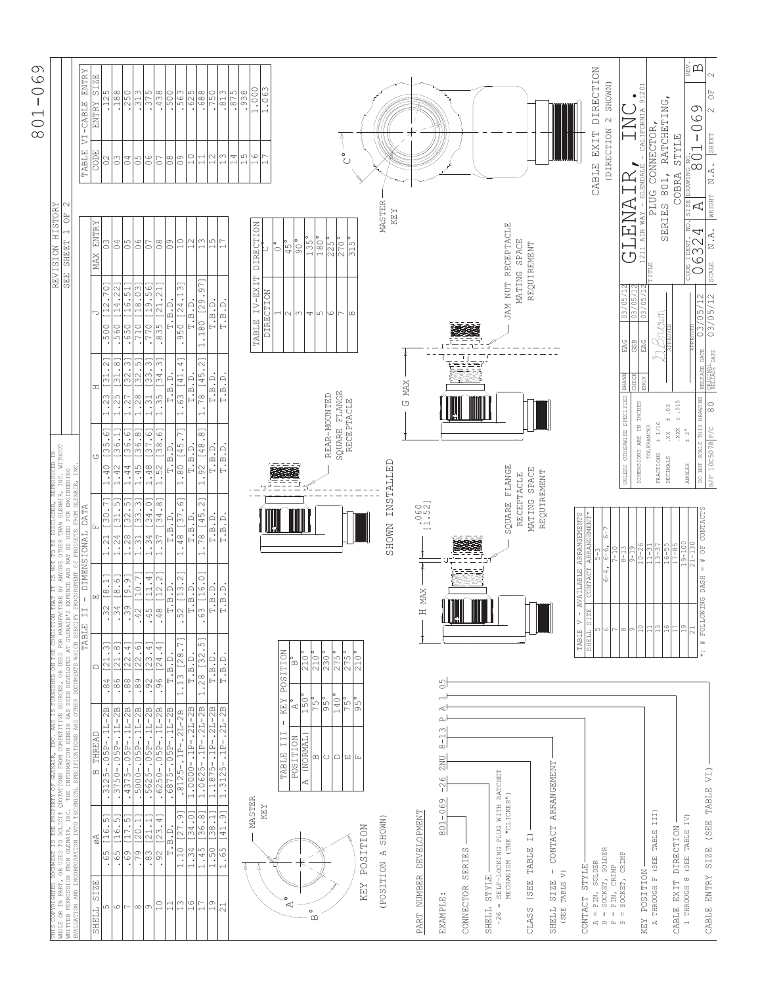| THIS COPYRIGHTED DOCUMENT IS THE PROPERTY OF GLENNIR, INC. AND IS FURNISHED ON THE CONDITION<br>WHOLE OR IN BART, OR USED TO SOLICIT QUOTATIONS FROM COMPETITIVE SOURCES, OR USED FOR NAMUPICATION<br>EVALUATION AND INCORPORATION I |                                                            |                                                                                                                                                                                                                                                                                                                                                                                           | N THAT IT IS NOT TO BE DISCLOSED, REPRODUCED IN<br>ACTURE BY ANYONE OTHER THAN GLENAIR, INC. NITHOUT<br>I PROCUREMENT OF PRODUCTS FROM GLENAIR, INC.<br>I PROCUREMENT OF PRODUCTS FROM GLENAIR, INC. |                                                           |                                                              |                                                      | REVISION HISTORY<br>SEE SHEET 1 OF 2        |                                                                                           |                                                    |  |
|--------------------------------------------------------------------------------------------------------------------------------------------------------------------------------------------------------------------------------------|------------------------------------------------------------|-------------------------------------------------------------------------------------------------------------------------------------------------------------------------------------------------------------------------------------------------------------------------------------------------------------------------------------------------------------------------------------------|------------------------------------------------------------------------------------------------------------------------------------------------------------------------------------------------------|-----------------------------------------------------------|--------------------------------------------------------------|------------------------------------------------------|---------------------------------------------|-------------------------------------------------------------------------------------------|----------------------------------------------------|--|
|                                                                                                                                                                                                                                      | TABLE                                                      | Н                                                                                                                                                                                                                                                                                                                                                                                         | - DIMENSIONAL DATA                                                                                                                                                                                   |                                                           |                                                              |                                                      |                                             | TABLE                                                                                     | VI-CABLE                                           |  |
| THREAD<br>$\square$<br>øA<br>SIZE<br>SHELL                                                                                                                                                                                           | $\bigcap$                                                  | 囜                                                                                                                                                                                                                                                                                                                                                                                         |                                                                                                                                                                                                      | じ                                                         | H                                                            |                                                      | <b>ENTRY</b><br><b>NAX</b>                  | CODE                                                                                      | $\frac{\text{ENTRY}}{\text{SIZE}}$<br>ENTRY        |  |
| $\frac{3125 - .05P - .1L - 2B}{3750 - .05P - .1L - 2B}$<br>$[16.5]$<br>$[16.5]$<br>- 65<br>ഗ                                                                                                                                         | 3<br>$\overline{21}$<br>$\cdot$ 84                         | [1.8]<br>$\begin{array}{c c c c c} \hline 1 & 1 & 1 \\ \hline 3 & 1 & 1 \\ \hline 1 & 3 & 1 \\ \hline 2 & 1 & 1 \\ \hline 3 & 1 & 1 \\ \hline 4 & 1 & 1 \\ \hline 5 & 1 & 1 \\ \hline 6 & 1 & 1 \\ \hline 7 & 1 & 1 \\ \hline 8 & 1 & 1 \\ \hline 9 & 1 & 1 \\ \hline 1 & 1 & 1 \\ \hline 1 & 1 & 1 \\ \hline 1 & 1 & 1 \\ \hline 1 & 1 & 1 \\ \hline 1 & 1 & 1 \\ \hline 1 & 1 & 1 \\ \$ | [30.7]                                                                                                                                                                                               | 35.6]<br>1.40                                             | 31.2<br>.23                                                  | [12.70]<br>500                                       | SO                                          | $\approx$                                                                                 | .125                                               |  |
| 59<br>$\circ$                                                                                                                                                                                                                        | $\infty$<br>$\overline{\mathcal{C}}$<br>$\frac{86}{98}$    | $\frac{18.51}{19.91}$                                                                                                                                                                                                                                                                                                                                                                     | <u>ن</u> .<br>$\overline{\mathcal{E}}$                                                                                                                                                               | 36.<br>$42$                                               | $\infty$<br>$\Xi$<br>25                                      | [14.22]<br>560                                       | $rac{6}{6}$                                 | $\frac{6}{9}$                                                                             | .188                                               |  |
| $\overline{7.5}$<br>비<br>$\frac{1}{69}$                                                                                                                                                                                              | $\frac{[22.4]}{[22.6]}$                                    |                                                                                                                                                                                                                                                                                                                                                                                           | 32.5                                                                                                                                                                                                 | $\frac{136.61}{[36.8]}$<br>.44                            | $\frac{[32.3]}{[32.5]}$<br>.27                               | [16.51]<br>.650                                      |                                             |                                                                                           | .250                                               |  |
| $\begin{array}{r l} .4375 - .05P - .1L-2B \\ .5000 - .05P - .1L-2B \\ .5625 - .05P - .1L-2B \\ \end{array}$<br>[20.1]<br>[21.1]<br>$\overline{.79}$<br>.83<br>$\infty$<br>$\circ$                                                    | [23.4]<br>$\frac{1}{8}$<br>$92$                            | [10.7]<br>[11.4]                                                                                                                                                                                                                                                                                                                                                                          | [33.3]<br>34.0<br>$\frac{1.21}{1.28}$<br>$\frac{2}{1.31}$<br>$\frac{3}{1.34}$                                                                                                                        | 37.6<br>1.45<br>48                                        | $\infty$<br>[33.<br>1.28<br>$\Xi$                            | [18.03]<br>[19.56]<br>.710<br>$\frac{1}{770}$        | $\frac{8}{10}$<br>$\overline{\rm C}$        | 0.5                                                                                       | .313                                               |  |
| $.6250-.05P-.1L-2B$<br>[23.4]<br>$\frac{1}{2}$<br>$\supseteq$                                                                                                                                                                        | [24.4]<br>$\frac{1}{26}$                                   | [12.2]                                                                                                                                                                                                                                                                                                                                                                                    | [34.8]<br>$\overline{\cdot}$                                                                                                                                                                         | 38.6<br>PS <sub>2</sub>                                   | $\boxed{34.3}$<br>$\frac{5}{2}$                              | $\overline{\phantom{0}}$<br>[21.2]<br>$\frac{85}{ }$ | $ \mathscr{E} $                             | 5                                                                                         |                                                    |  |
| .6875-.05P-.1L-2B<br>$T$ . B. D.<br>$\Xi$                                                                                                                                                                                            | T.B.D.                                                     |                                                                                                                                                                                                                                                                                                                                                                                           | $T \cdot B \cdot D.$                                                                                                                                                                                 | $T$ . B. D.                                               | T.B.D.                                                       | T.B.D.                                               | $\circ$                                     | $\frac{8}{2}$                                                                             | $\frac{1438}{500}$                                 |  |
| $.8125 - .1P - .2L - 2B$<br>S<br>$\overline{\phantom{0}}$                                                                                                                                                                            | [28]<br>1.13                                               | $\cdot$                                                                                                                                                                                                                                                                                                                                                                                   | $\ddot{\circ}$<br>[37<br>.48                                                                                                                                                                         | 145.<br>1.80                                              | $\ddot{\phantom{0}}$<br>[41<br>$\mathcal{C}^3$               | Μ<br>[24.1]<br>950                                   |                                             | $\frac{6}{2}$                                                                             |                                                    |  |
| $1.0000 - 1P - 2L - 2B$<br>$\frac{[27.9]}{[34.0]}$<br>$\frac{1.10}{1.34}$<br>$\circ$<br>$\overline{ }$                                                                                                                               | $T.B.D.$                                                   | $\frac{52}{1.5. D}$ .                                                                                                                                                                                                                                                                                                                                                                     | $\mathbb{T}$ . $\mathbb{B}$ . $\mathbb{D}$                                                                                                                                                           | T.B.D.                                                    | T.B.D.                                                       | $T.B.D.$                                             | $\frac{1}{2}$                               | $\frac{1}{2}$                                                                             | $\frac{563}{628}$                                  |  |
| 1.0625-11P-.2L-2B<br>36.8<br>1.45<br>$\overline{11}$                                                                                                                                                                                 | 5<br>132.<br>1.28                                          | [16.0]<br>$\frac{3}{6}$<br>$\cdot$                                                                                                                                                                                                                                                                                                                                                        | [45.2]<br>78                                                                                                                                                                                         | [48.8<br>$\Im S$                                          | $\sim$<br>[45.2]<br>78                                       | [29.97<br>$\frac{180}{ }$                            | $\frac{1}{1}$                               | 급                                                                                         |                                                    |  |
| 1.1875-11P-.2L-2B<br>38.1<br>1.50<br>0<br>$\overline{\phantom{0}}$                                                                                                                                                                   | T.B.D.                                                     | T.B.D.                                                                                                                                                                                                                                                                                                                                                                                    | T.B.D.                                                                                                                                                                                               | T.B.D.                                                    | T.B.D.                                                       | T.B.D.                                               | l5                                          | $\frac{2}{1}$                                                                             | .750                                               |  |
| $-.1P-.2L-2B$<br>1.3125<br>[41.9]<br>1.65<br>$\overline{c}$                                                                                                                                                                          | T.B.D.                                                     | T.B.D.                                                                                                                                                                                                                                                                                                                                                                                    | $T$ . B . $\mathbb D$                                                                                                                                                                                | $T$ . B. D.                                               | $T$ . B. D.                                                  | T.B.D.                                               |                                             |                                                                                           | $\frac{.813}{.875}$                                |  |
|                                                                                                                                                                                                                                      |                                                            |                                                                                                                                                                                                                                                                                                                                                                                           |                                                                                                                                                                                                      |                                                           |                                                              |                                                      |                                             | ∣ഥ∩<br>$\overline{14}$                                                                    | .938                                               |  |
| MASTER                                                                                                                                                                                                                               |                                                            |                                                                                                                                                                                                                                                                                                                                                                                           |                                                                                                                                                                                                      |                                                           |                                                              |                                                      |                                             | $\overline{\phantom{0}}$                                                                  |                                                    |  |
| KEY                                                                                                                                                                                                                                  |                                                            |                                                                                                                                                                                                                                                                                                                                                                                           |                                                                                                                                                                                                      |                                                           |                                                              | IV-EXIT<br>DIRECTION<br>TABLE                        | DIRECTION<br>◡                              | $\circ$                                                                                   | 1.000<br>1.063                                     |  |
|                                                                                                                                                                                                                                      |                                                            |                                                                                                                                                                                                                                                                                                                                                                                           |                                                                                                                                                                                                      |                                                           |                                                              |                                                      | $\circ$                                     |                                                                                           |                                                    |  |
| $\mathbf{I}$<br>III<br>TABLE<br>$\circ$<br>К                                                                                                                                                                                         | POSITION<br><b>KEY</b>                                     |                                                                                                                                                                                                                                                                                                                                                                                           |                                                                                                                                                                                                      |                                                           |                                                              | 2                                                    | $\sqrt{45}$                                 |                                                                                           |                                                    |  |
| <b>POSITION</b>                                                                                                                                                                                                                      | $\Omega$<br>Ą                                              |                                                                                                                                                                                                                                                                                                                                                                                           |                                                                                                                                                                                                      |                                                           |                                                              | ω                                                    | $\sqrt{90}$                                 |                                                                                           |                                                    |  |
| (NORMAL<br>A,<br>$\circ$<br>$\mathbf{\Omega}$                                                                                                                                                                                        | $\frac{210^{\circ}}{210^{\circ}}$<br>150                   |                                                                                                                                                                                                                                                                                                                                                                                           |                                                                                                                                                                                                      |                                                           |                                                              | 4                                                    | 135                                         |                                                                                           |                                                    |  |
| $\omega$                                                                                                                                                                                                                             | 75°<br>$\frac{1}{95}$                                      |                                                                                                                                                                                                                                                                                                                                                                                           |                                                                                                                                                                                                      |                                                           |                                                              | $\sqrt{2}$                                           | 180°                                        |                                                                                           |                                                    |  |
|                                                                                                                                                                                                                                      |                                                            |                                                                                                                                                                                                                                                                                                                                                                                           |                                                                                                                                                                                                      | REAR-MOUNTED                                              |                                                              | $\circ$                                              | $225$ °                                     |                                                                                           |                                                    |  |
| 이미페티                                                                                                                                                                                                                                 | $\frac{230}{275}$<br>$\frac{275}{275}$<br>$\frac{140}{75}$ |                                                                                                                                                                                                                                                                                                                                                                                           |                                                                                                                                                                                                      | SQUARE FLANGE<br>RECEPTACLE                               |                                                              | r<br>$\infty$                                        | $\frac{270^{\circ}}{315^{\circ}}$           | $\overset{\circ}{\circ}$                                                                  |                                                    |  |
| <b>POSITION</b><br><b>KEY</b>                                                                                                                                                                                                        | 210'<br>95                                                 |                                                                                                                                                                                                                                                                                                                                                                                           |                                                                                                                                                                                                      |                                                           |                                                              |                                                      |                                             |                                                                                           |                                                    |  |
| SHOWN)<br>$\mathbb{R}^4$<br>(POSITION                                                                                                                                                                                                |                                                            |                                                                                                                                                                                                                                                                                                                                                                                           | SHOWN                                                                                                                                                                                                | INSTALLED                                                 |                                                              |                                                      | MASTER<br>KEY                               |                                                                                           |                                                    |  |
|                                                                                                                                                                                                                                      |                                                            |                                                                                                                                                                                                                                                                                                                                                                                           |                                                                                                                                                                                                      |                                                           | <b>MAX</b><br>U                                              |                                                      |                                             |                                                                                           |                                                    |  |
| PART NUMBER DEVELOPMENT                                                                                                                                                                                                              |                                                            | H MAX                                                                                                                                                                                                                                                                                                                                                                                     | $\begin{array}{c} .060 \\ 1.52 \end{array}$                                                                                                                                                          |                                                           |                                                              |                                                      |                                             |                                                                                           |                                                    |  |
| $8 - 13$<br><b>TINZ</b><br>$-26$<br>801-069<br>EXAMPLE:                                                                                                                                                                              | 앙<br>$\overline{\phantom{0}}$<br>κŀ<br>$\mathbf{p}$        |                                                                                                                                                                                                                                                                                                                                                                                           |                                                                                                                                                                                                      |                                                           |                                                              |                                                      |                                             |                                                                                           |                                                    |  |
|                                                                                                                                                                                                                                      |                                                            |                                                                                                                                                                                                                                                                                                                                                                                           |                                                                                                                                                                                                      |                                                           |                                                              |                                                      |                                             |                                                                                           |                                                    |  |
| SERIES<br>CONNECTOR                                                                                                                                                                                                                  |                                                            | <b>CHARGE BURGER</b>                                                                                                                                                                                                                                                                                                                                                                      |                                                                                                                                                                                                      |                                                           |                                                              |                                                      |                                             |                                                                                           |                                                    |  |
|                                                                                                                                                                                                                                      |                                                            |                                                                                                                                                                                                                                                                                                                                                                                           |                                                                                                                                                                                                      |                                                           |                                                              |                                                      |                                             |                                                                                           |                                                    |  |
| <b>STYIE</b><br>SHELL                                                                                                                                                                                                                |                                                            |                                                                                                                                                                                                                                                                                                                                                                                           |                                                                                                                                                                                                      |                                                           |                                                              |                                                      |                                             |                                                                                           |                                                    |  |
| SELF-LOCKING PLUG WITH RATCHET<br>MECHANISM (THE "CLICKER")<br>$\mathbf{I}$<br>$-26$                                                                                                                                                 |                                                            |                                                                                                                                                                                                                                                                                                                                                                                           | SQUARE FLANGE                                                                                                                                                                                        |                                                           |                                                              |                                                      | JAM NUT RECEPTACLE                          |                                                                                           |                                                    |  |
|                                                                                                                                                                                                                                      |                                                            |                                                                                                                                                                                                                                                                                                                                                                                           | RECEPTACLE                                                                                                                                                                                           |                                                           |                                                              |                                                      | MATING SPACE                                |                                                                                           |                                                    |  |
| TABLE I)<br>(SEE<br>CLASS                                                                                                                                                                                                            |                                                            |                                                                                                                                                                                                                                                                                                                                                                                           | MATING SPACE                                                                                                                                                                                         |                                                           |                                                              |                                                      | REQUIREMENT                                 |                                                                                           |                                                    |  |
| <b>ARRANGEMENT</b><br>CONTACT<br>$\bar{1}$<br>SIZE<br>SHELL                                                                                                                                                                          |                                                            |                                                                                                                                                                                                                                                                                                                                                                                           | REQUIREMENT                                                                                                                                                                                          |                                                           |                                                              |                                                      |                                             |                                                                                           |                                                    |  |
| TABLE V)<br>(SEE                                                                                                                                                                                                                     |                                                            |                                                                                                                                                                                                                                                                                                                                                                                           |                                                                                                                                                                                                      |                                                           |                                                              |                                                      |                                             |                                                                                           |                                                    |  |
| CONTACT STYLE                                                                                                                                                                                                                        | TABLE                                                      | $\,>$                                                                                                                                                                                                                                                                                                                                                                                     | - AVAILABLE ARRANGEMENTS                                                                                                                                                                             |                                                           |                                                              |                                                      |                                             |                                                                                           |                                                    |  |
| $\sigma^a_{\rm s}$                                                                                                                                                                                                                   | SHELL                                                      | CONTACT<br>ZE <sub></sub><br>55                                                                                                                                                                                                                                                                                                                                                           | ARRANGEMENT                                                                                                                                                                                          |                                                           |                                                              |                                                      |                                             | <b>EXIT</b><br>CABLE                                                                      | DIRECTION                                          |  |
| $=$ PIN, SOLDER<br>= SOCKET, SOLDER<br>PIN, CRIMP<br>$\, \parallel$<br>$\begin{matrix} \alpha & \alpha & \alpha \end{matrix}$                                                                                                        |                                                            | O                                                                                                                                                                                                                                                                                                                                                                                         | $6 - 6$ ,                                                                                                                                                                                            |                                                           |                                                              |                                                      |                                             | (DIRECTION                                                                                | 2 SHOWN)                                           |  |
| SOCKET, CRIMP<br>$\, \parallel$                                                                                                                                                                                                      |                                                            |                                                                                                                                                                                                                                                                                                                                                                                           | $\frac{1}{2}$                                                                                                                                                                                        | UNLESS OTHERWISE SPECIFIED                                | <b>DRAWN</b>                                                 | $\frac{2}{1}$<br>03/05/<br>EAG                       |                                             |                                                                                           |                                                    |  |
|                                                                                                                                                                                                                                      |                                                            | ∣∞∣ച⊆                                                                                                                                                                                                                                                                                                                                                                                     | $\frac{1}{9}$                                                                                                                                                                                        | DIMENSIONS ARE IN INCHES                                  | CHECK                                                        | 03/05/<br>GSB                                        | ,<br>ל                                      | $\operatorname{LEM}_{\mathbb{A}\text{IR}} \mathrm{NAM} \in \mathbb{R}$ are way – geendale | ٠                                                  |  |
| THROUGH F (SEE TABLE III)<br><b>POSITION</b><br>KEY<br>$\mathbf{d}_i^t$                                                                                                                                                              |                                                            | 름                                                                                                                                                                                                                                                                                                                                                                                         |                                                                                                                                                                                                      | TOLERANCES                                                | <b>ENGR</b>                                                  | 03/05/12<br>EAG                                      | 211                                         | CONNECTOR,<br>PLUG                                                                        | 201<br>$\overline{5}$<br>CALIFORNIA                |  |
|                                                                                                                                                                                                                                      |                                                            | $\frac{8}{11}$                                                                                                                                                                                                                                                                                                                                                                            |                                                                                                                                                                                                      | ±1/16<br>$\ddot{x}$<br>FRACTIONS<br>DECIMALS              | ± .03                                                        | $\beta$ rown                                         | SERIES                                      | 801,                                                                                      | RATCHETING,                                        |  |
| DIRECTION<br>CABLE EXIT                                                                                                                                                                                                              |                                                            |                                                                                                                                                                                                                                                                                                                                                                                           |                                                                                                                                                                                                      | $\,$ XXX                                                  | .015                                                         |                                                      |                                             | <b>STYLE</b><br>COBRA                                                                     |                                                    |  |
| IV)<br>(SEE TABLE<br>THROUGH 8<br>$\overline{a}$                                                                                                                                                                                     |                                                            | $\frac{5}{2}$                                                                                                                                                                                                                                                                                                                                                                             |                                                                                                                                                                                                      | $\sim$<br>$\ddot{+}$<br>ANGLES                            |                                                              |                                                      | $\overline{A}$<br>E IDENT. NO.<br><b>EO</b> | $\overline{\phantom{0}}$<br>္မွဴထ<br>DRAWING                                              | ia<br>四<br>C)<br>$\circ$<br>$\circ$<br>$\mathsf I$ |  |
| (SEE TABLE VI)<br><b>SIZE</b><br>CABLE ENTRY                                                                                                                                                                                         | $\frac{1}{\cdot}$                                          | $\, \parallel$<br>DASH<br><b>DMING</b><br><b>FOLIO</b>                                                                                                                                                                                                                                                                                                                                    | OF CONTACTS<br>$\ddot{}$                                                                                                                                                                             | DO NOT SCALE THIS DRAWING<br>10C5078 P/C<br>$\frac{F}{B}$ | NAL<br>SE DATE<br>$\stackrel{\bigcirc}{\scriptstyle \infty}$ | $\frac{03/05/12}{03/05/12}$<br>DATE                  | <b>WEIGHT</b><br>$\mathbb Z$<br>SCALE       | SHEET<br>ż                                                                                | $\overline{\mathbb{C}}$<br>$\sim$                  |  |
|                                                                                                                                                                                                                                      |                                                            |                                                                                                                                                                                                                                                                                                                                                                                           |                                                                                                                                                                                                      |                                                           |                                                              |                                                      | A,                                          | $\ddot{A}$ .                                                                              |                                                    |  |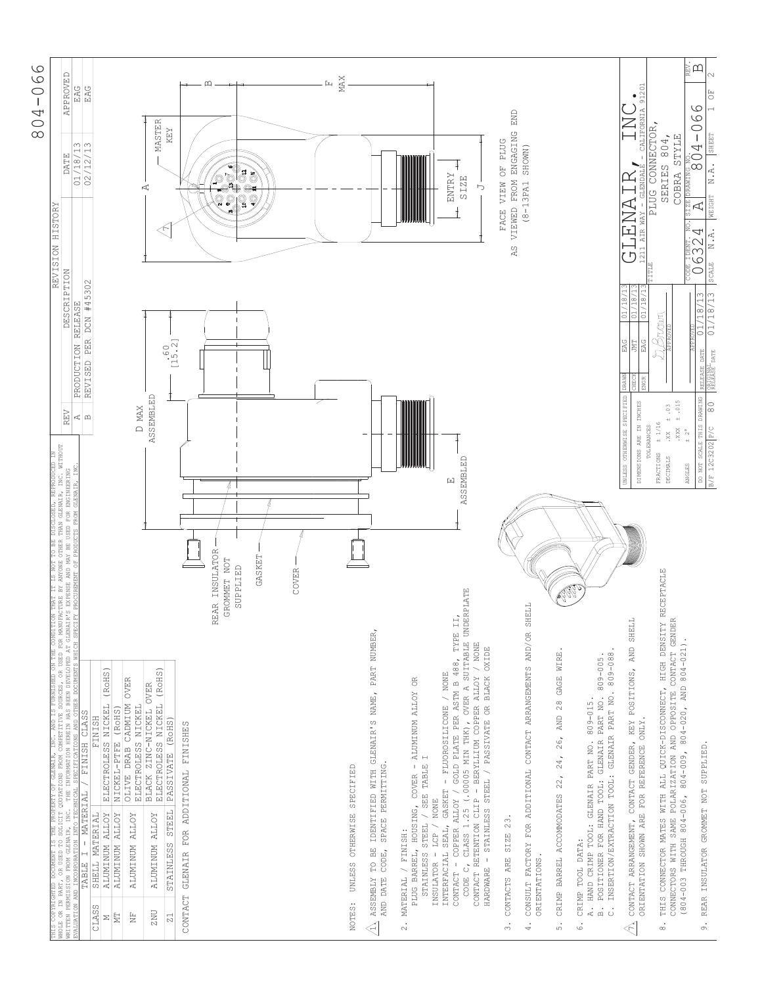

| COPYRIGHTED DOCUMENT IS THE PROPE<br>COR IN PART, OR USED TO SOLICIT (<br>EN PERMISSION FROM GLENAIR, INC.<br>THIS C<br>WHOLE                                                                                                                                                                                                     | REVISION                                                                                                                                                                                 | HISTORY                                                                                                                                                                                                                                                                                                                                                                                                                                         |
|-----------------------------------------------------------------------------------------------------------------------------------------------------------------------------------------------------------------------------------------------------------------------------------------------------------------------------------|------------------------------------------------------------------------------------------------------------------------------------------------------------------------------------------|-------------------------------------------------------------------------------------------------------------------------------------------------------------------------------------------------------------------------------------------------------------------------------------------------------------------------------------------------------------------------------------------------------------------------------------------------|
| DOCUMENT IS THE PROPERTY OF GERMAIR, INC. AND IS FURNISHED ON THE CONDITION THAT IT IS NOT TO BE DISCLOSED, REROQUCED IN<br>. OR USED TO SOLICIT COUTATIONS FROM COMPETITIVE SODRCES, OR USED FOR MANUFACTURE BY ANYONE OTHER THA<br>VALUATION<br><b>WRITTEN</b>                                                                  | DESCRIPTION<br>PRODUCTION RELEASE<br>REV<br>Ą                                                                                                                                            | <b>APPROVED</b><br>EAG<br>01/18/13<br><b>DATE</b>                                                                                                                                                                                                                                                                                                                                                                                               |
| (RoHS)<br>OLIVE DRAB CADMIUM OVER<br>NICKEL<br>NICKEL-PTFE (ROHS)<br>FINISH CLASS<br><b>FINISH</b><br><b>ELECTROLESS</b><br>MATERIAL /<br><b>ALUMINUM ALLOY</b><br><b>ALUMINUM ALLOY</b><br>SHELL MATERIAL<br><b>ALUMINUM ALLOY</b><br>$\bar{\Gamma}$<br>TABLE I<br>CLASS<br>EN<br>È<br>Σ                                         | #45302<br>DCN<br>PER<br>REVISED<br>$\mathbf{\underline{\upomega}}$                                                                                                                       | EAG<br>m<br>12/<br>$\frac{2}{\sqrt{2}}$                                                                                                                                                                                                                                                                                                                                                                                                         |
| (RoHS)<br>BLACK ZINC-NICKEL OVER<br>ELECTROLESS NICKEL<br>ELECTROLESS NICKEL<br>(RoHS)<br>PASSIVATE<br><b>STEEL</b><br><b>ALUMINUM ALLOY</b><br>STAINLESS<br><b>ZNU</b><br>$\mathbb N$                                                                                                                                            | $\frac{60}{15.2}$<br>ASSEMBLED<br>D MAX                                                                                                                                                  | MASTER<br>KEY<br>К                                                                                                                                                                                                                                                                                                                                                                                                                              |
| INSULATOR<br>BOMMET NOT<br>SUPPLIED<br><b>REAR</b><br>GLENAIR FOR ADDITIONAL FINISHES<br>CONTACT                                                                                                                                                                                                                                  | 4                                                                                                                                                                                        | ៓<br>$\begin{matrix} \mathbb{Q} & \mathbb{Q} & \mathbb{Q} & \mathbb{Q} & \mathbb{Q} & \mathbb{Q} & \mathbb{Q} & \mathbb{Q} & \mathbb{Q} & \mathbb{Q} & \mathbb{Q} & \mathbb{Q} & \mathbb{Q} & \mathbb{Q} & \mathbb{Q} & \mathbb{Q} & \mathbb{Q} & \mathbb{Q} & \mathbb{Q} & \mathbb{Q} & \mathbb{Q} & \mathbb{Q} & \mathbb{Q} & \mathbb{Q} & \mathbb{Q} & \mathbb{Q} & \mathbb{Q} & \mathbb{Q} & \mathbb{Q} & \mathbb{Q} & \mathbb{Q$<br>Ø<br>Q |
| GASKET                                                                                                                                                                                                                                                                                                                            |                                                                                                                                                                                          | ö<br>Q                                                                                                                                                                                                                                                                                                                                                                                                                                          |
| COVER                                                                                                                                                                                                                                                                                                                             |                                                                                                                                                                                          |                                                                                                                                                                                                                                                                                                                                                                                                                                                 |
| UNLESS OTHERWISE SPECIFIED<br>NOTES:                                                                                                                                                                                                                                                                                              |                                                                                                                                                                                          | <b>MAX</b><br>ſц                                                                                                                                                                                                                                                                                                                                                                                                                                |
| PART NUMBER,<br>IDENTIFIED WITH GLENAIR'S NAME,<br>SPACE PERMITTING.<br>TO BE<br>CODE,<br><b>ASSEMBLY</b><br>AND DATE<br>$\triangleleft$                                                                                                                                                                                          |                                                                                                                                                                                          |                                                                                                                                                                                                                                                                                                                                                                                                                                                 |
| $\frac{\alpha}{\beta}$<br>- ALUMINUM ALLOY<br>STAINLESS STEEL / SEE TABLE<br>PLUG BARREL, HOUSING, COVER<br>NONE<br>LCP /<br>MATERIAL / FINISH:<br>INSULATOR -<br>$\ddot{\mathcal{L}}$                                                                                                                                            |                                                                                                                                                                                          |                                                                                                                                                                                                                                                                                                                                                                                                                                                 |
| CLASS 1.25 (.00005 MIN THK), OVER A SUITABLE UNDERFLATE<br>GOLD PLATE PER ASTM B 488, TYPE II,<br>/ NONE<br>OXIDE<br>INTERFACIAL SEAL, GASKET - FLUOROSILICONE / NONE<br>CONTACT RETENTION CLIP - BERYLLIUM COPPER ALLOY<br>HARDWARE - STAINLESS STEEL / PASSIVATE OR BLACK<br>CONTACT - COPPER ALLOY /<br>$\ddot{\circ}$<br>CODE | <b>ASSEMBLED</b><br>口                                                                                                                                                                    | <b>ENTRY</b><br><b>SIZE</b><br>Ь                                                                                                                                                                                                                                                                                                                                                                                                                |
| CONTACTS ARE SIZE 23.<br>$\dot{\tilde{z}}$                                                                                                                                                                                                                                                                                        | VIEWED<br>RS.                                                                                                                                                                            | END<br>FROM ENGAGING<br><b>PLUG</b><br>$\overline{5}$<br>NIEM<br><b>FACE</b>                                                                                                                                                                                                                                                                                                                                                                    |
| CONSULT FACTORY FOR ADDITIONAL CONTACT ARRANGEMENTS AND/OR SHELL<br>ORIENTATIONS.<br>$\ddot{4}$ .                                                                                                                                                                                                                                 |                                                                                                                                                                                          | SHOWN)<br>$(8 - 13PA1$                                                                                                                                                                                                                                                                                                                                                                                                                          |
| WIRE.<br>AND 28 GAGE<br>26,<br>24,<br>CRIMP BARREL ACCOMMODATES 22,<br>$\overline{5}$                                                                                                                                                                                                                                             |                                                                                                                                                                                          |                                                                                                                                                                                                                                                                                                                                                                                                                                                 |
| INSERTION/EXTRACTION TOOL: GLENAIR PART NO. 809-088<br>PART NO. 809-005<br>A. HAND CRIMP TOOL: GLENAIR PART NO. 809-015.<br>POSITIONER FOR HAND TOOL: GLENAIR<br>CRIMP TOOL DATA:<br>$\dot{\mathbb{m}}$<br>$\ddot{\circ}$<br>$\ddot{\circ}$                                                                                       |                                                                                                                                                                                          |                                                                                                                                                                                                                                                                                                                                                                                                                                                 |
| SHELL<br>CONTACT ARRANGEMENT, CONTACT GENDER, KEY POSITIONS, AND<br>ORIENTATION SHOWN ARE FOR REFERENCE ONLY.<br>$\ll$                                                                                                                                                                                                            | AIR<br>211<br>ח ז<br>$\frac{01/18/13}{01/18/13}$<br>01/18/<br>EAG<br>JMT<br>EAG<br>DRAWN<br>CHECK<br><b>ENGR</b><br>UNLESS OTHERWISE SPECIFIED<br>DIMENSIONS ARE IN INCHES<br>TOLERANCES | 201<br>$\overline{5}$<br>- CALIFORNIA<br>GLENDALE<br>$\mathsf{\Omega}$<br>ANE<br><b>NAY</b>                                                                                                                                                                                                                                                                                                                                                     |
| RECEPTACLE<br>POLARIZATION AND OPPOSITE CONTACT GENDER<br>THIS CONNECTOR MATES WITH ALL QUICK-DISCONNECT, HIGH DENSITY<br>(804-003 THROUGH 804-006, 804-009, 804-020, AND 804-021).<br>CONNECTORS WITH SAME<br>$\ddot{\circ}$                                                                                                     | Brown<br>$\pm$ .015<br>$\ddot{\circ}$<br>$^{+}$<br>$\pm$ 1/16<br>.888<br>$\ddot{x}$<br>$+2^{\circ}$<br>FRACTIONS<br>DECIMALS<br>ANGLES                                                   | PLUG CONNECTOR,<br>804,<br>COBRA STYLE<br>SERIES<br>ZE <sub>1</sub><br>52                                                                                                                                                                                                                                                                                                                                                                       |
| REAR INSULATOR GROMMET NOT SUPPLIED<br>$\dot{\circ}$                                                                                                                                                                                                                                                                              | N.A.<br>- 6324<br>6324<br>SCALE<br>$\circ$<br>01/18/13<br>/18/13<br>$\overline{01}$<br>RELEASE DATE<br>ORIGINAL<br>RELEASE DATE<br>DO NOT SCALE THIS DRAWING<br>80<br>B/F 12C3202 P/C    | ¤ă<br>$\sim$<br>$1^{\circ}$ OF<br>$\circ$<br>90-608<br>SHEET<br>N.A.<br><b>WEIGHT</b><br>Ą                                                                                                                                                                                                                                                                                                                                                      |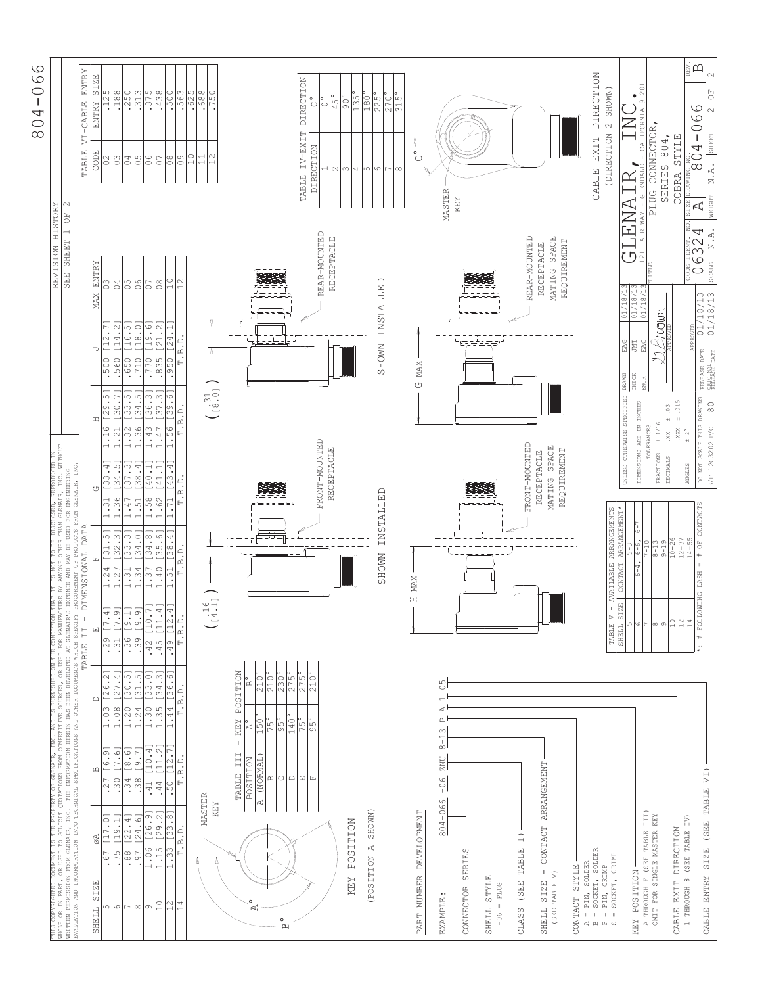| ဖ<br>ق<br>⊂٦<br>ı<br>↤<br>⌒<br>$\infty$ |  |
|-----------------------------------------|--|
|                                         |  |

| THIS COPRIGHTED DOCUMBNT IS THE PROFERTY OF CLENAIR, INC. AND IS FURNISHED ON THE CONDITION THAT IT IS NOT TO BE DISCLOSED, REPRODUCED IN<br>WHOLE OR IN PART, OR USED TO SOLICIT QUOTATIONS FROM COMPETITUS SODRESS, OR USED FOR |                                                                                                                                                                                                                                                                                                                                                                                                                                                                                |                                                                             |                                         |                                                     |                           |                                                            |                                                                  | REVISION HISTORY<br><b>SHEET</b><br>SEE<br>S                 | F)                                                                          |                                                                                                            |
|-----------------------------------------------------------------------------------------------------------------------------------------------------------------------------------------------------------------------------------|--------------------------------------------------------------------------------------------------------------------------------------------------------------------------------------------------------------------------------------------------------------------------------------------------------------------------------------------------------------------------------------------------------------------------------------------------------------------------------|-----------------------------------------------------------------------------|-----------------------------------------|-----------------------------------------------------|---------------------------|------------------------------------------------------------|------------------------------------------------------------------|--------------------------------------------------------------|-----------------------------------------------------------------------------|------------------------------------------------------------------------------------------------------------|
|                                                                                                                                                                                                                                   |                                                                                                                                                                                                                                                                                                                                                                                                                                                                                |                                                                             |                                         |                                                     |                           |                                                            |                                                                  |                                                              |                                                                             |                                                                                                            |
| øA<br><b>SIZE</b><br>SHELL                                                                                                                                                                                                        | $\mathbf{\underline{\square}}$                                                                                                                                                                                                                                                                                                                                                                                                                                                 | $\Box$                                                                      | $\overline{\overline{u}}$<br>回<br>TABLE | DIMENSIONAL DATA                                    | (5)                       | œ                                                          |                                                                  | <b>ENTRY</b><br><b>MAX</b>                                   | TABLE<br>COD <sub>.</sub>                                                   | ENTRY<br>SIZE<br>VI-CABLE<br>ENTRY                                                                         |
| $\overline{\phantom{0}}$<br>ഗ                                                                                                                                                                                                     | [6.9]                                                                                                                                                                                                                                                                                                                                                                                                                                                                          | 26.2]                                                                       | $\overline{\phantom{0}}$<br>.29         | [31.5]<br>1.24                                      | 33.41<br>1.31             | 29.5                                                       | $\vdash$<br>.<br>[12.<br>.500                                    | $\frac{3}{2}$                                                | 囜<br>$\approx$                                                              | .125                                                                                                       |
| 7.01<br>$\overline{\circ}$<br>.67                                                                                                                                                                                                 | $\overline{ }$<br>.27                                                                                                                                                                                                                                                                                                                                                                                                                                                          | 1.03                                                                        | Ξ<br>$ \infty $                         |                                                     | 34.                       | 30.<br>$\frac{6}{1}$<br>$\overline{\phantom{0}}$           |                                                                  | $\mathcal{O}\,4$                                             |                                                                             |                                                                                                            |
| [22.4]<br>$\overline{\phantom{0}}$<br>$\frac{88}{15}$<br>$\circ$<br>$\overline{ }$                                                                                                                                                | [8.6]<br> ن<br>$\begin{array}{c c c c} \hline \textbf{1} & \textbf{1} & \textbf{1} \\ \hline \textbf{2} & \textbf{1} & \textbf{1} \\ \hline \textbf{3} & \textbf{1} & \textbf{1} \\ \hline \textbf{4} & \textbf{1} & \textbf{1} \\ \hline \textbf{5} & \textbf{1} & \textbf{1} \\ \hline \textbf{6} & \textbf{1} & \textbf{1} \\ \hline \textbf{7} & \textbf{1} & \textbf{1} \\ \hline \textbf{8} & \textbf{1} & \textbf{1} \\ \hline \textbf{9} & \textbf{1$<br>$\longmapsto$ | $\frac{27.41}{30.51}$<br>1.20<br>$\frac{8}{1}$<br>$\overline{\phantom{0}}$  | $\frac{31}{15}$                         | 33.3<br>m<br>$\frac{1}{2}$<br>1.31<br>$\frac{1}{2}$ | [37.3]<br>ഗ<br>.36<br>.47 | 33.51<br>.32<br>$\overline{c}$<br>$\overline{\phantom{0}}$ | [16.5]<br>$\sim$<br>4<br>1<br>.650<br>560                        | 05                                                           | $\frac{6}{3}$                                                               | $\frac{188}{250}$                                                                                          |
| [24.6<br>$\overline{56}$ .                                                                                                                                                                                                        | [9.7]                                                                                                                                                                                                                                                                                                                                                                                                                                                                          |                                                                             | $\frac{[9.1]}{[9.9]}$<br>$\sqrt{39}$    | 34.0                                                | 38.4<br>$\frac{1}{2}$     | $\overline{\phantom{0}}$                                   | [18.0]<br>.710                                                   |                                                              |                                                                             |                                                                                                            |
| 26.<br>1.06<br>$\infty$ $\infty$                                                                                                                                                                                                  | [10.4]<br>$\circ$                                                                                                                                                                                                                                                                                                                                                                                                                                                              | $\frac{31.51}{33.01}$<br>$1.24$<br>$1.30$                                   | $[10]$<br>.42                           | $\infty$<br>34<br>$1.34$<br>$1.37$                  | $\frac{40.1}{ }$<br>.58   | $\frac{34.51}{36.31}$<br>.36                               | $\circ$<br>$\overline{\circ}$<br>$\overline{\phantom{0}}$<br>770 | $60 - 0$                                                     | $\frac{5}{10}$                                                              | .313                                                                                                       |
| [29.2]<br>1.15<br>$\overline{1}$                                                                                                                                                                                                  | [11.2]<br>.44                                                                                                                                                                                                                                                                                                                                                                                                                                                                  | [34.3]<br>1.35                                                              | $\overline{4}$<br>$\Xi$<br>$-45$        | [35.6<br>1.40                                       | $-1.11$<br>1.62           | $\frac{37.31}{2}$<br>.47<br>$\overline{\phantom{0}}$       | [21.2]<br>.835                                                   | $\frac{8}{2}$                                                | $\overline{O}$                                                              | .438                                                                                                       |
| 33.8<br>$\frac{1}{3}$<br>$\therefore$<br>$\sqrt{2}$                                                                                                                                                                               | [12.7]<br>50                                                                                                                                                                                                                                                                                                                                                                                                                                                                   | 36.61<br>.44<br>$\overline{\phantom{0}}$                                    | 4<br>$\frac{12}{12}$<br>49              | 4<br>38<br>51                                       | 43.4<br>h                 | 39.61<br>99                                                | 24.<br>950                                                       | $\overline{1}$                                               | $\frac{8}{2}$                                                               | 500                                                                                                        |
| T.B.D.<br>$\overline{14}$                                                                                                                                                                                                         | T.B.D.                                                                                                                                                                                                                                                                                                                                                                                                                                                                         | T.B.D.                                                                      | $\cdot$ B.D.<br>$\mapsto$               | B.D.<br>$\mapsto$                                   | T.B. D.                   | T.B.D.                                                     | $\ddot{B} \cdot D$                                               |                                                              | $\circ$                                                                     | .563                                                                                                       |
|                                                                                                                                                                                                                                   |                                                                                                                                                                                                                                                                                                                                                                                                                                                                                |                                                                             |                                         |                                                     |                           |                                                            |                                                                  |                                                              | $\alpha$                                                                    |                                                                                                            |
|                                                                                                                                                                                                                                   | MASTER                                                                                                                                                                                                                                                                                                                                                                                                                                                                         |                                                                             |                                         |                                                     |                           |                                                            |                                                                  |                                                              | 급                                                                           | $\frac{625}{68}$                                                                                           |
|                                                                                                                                                                                                                                   | KEY                                                                                                                                                                                                                                                                                                                                                                                                                                                                            |                                                                             | $\frac{6}{1}$                           |                                                     |                           | $31.6 \cdot 0.7$                                           |                                                                  |                                                              | $\sim$                                                                      | 750                                                                                                        |
|                                                                                                                                                                                                                                   |                                                                                                                                                                                                                                                                                                                                                                                                                                                                                |                                                                             |                                         |                                                     |                           |                                                            |                                                                  |                                                              |                                                                             |                                                                                                            |
|                                                                                                                                                                                                                                   | $\mathsf{L}$<br>III<br>TABLE                                                                                                                                                                                                                                                                                                                                                                                                                                                   | <b>POSITION</b><br>KEY                                                      |                                         |                                                     |                           |                                                            |                                                                  |                                                              |                                                                             |                                                                                                            |
| $\circ$<br>R                                                                                                                                                                                                                      | <b>POSITION</b>                                                                                                                                                                                                                                                                                                                                                                                                                                                                | īΩ<br>A,                                                                    |                                         |                                                     |                           |                                                            |                                                                  |                                                              |                                                                             |                                                                                                            |
|                                                                                                                                                                                                                                   | (NORMAL)<br>$\omega$<br>Ą                                                                                                                                                                                                                                                                                                                                                                                                                                                      | $210^{\circ}$<br>210°<br>$150$ <sup>o</sup>                                 |                                         |                                                     |                           |                                                            |                                                                  |                                                              |                                                                             |                                                                                                            |
| $\circ$                                                                                                                                                                                                                           |                                                                                                                                                                                                                                                                                                                                                                                                                                                                                | $230^\circ$<br>$\frac{75}{96}$                                              |                                         |                                                     |                           |                                                            |                                                                  |                                                              |                                                                             |                                                                                                            |
| $\mathbf{\Omega}$                                                                                                                                                                                                                 |                                                                                                                                                                                                                                                                                                                                                                                                                                                                                | $275^\circ$<br>$rac{140^{\circ}}{75^{\circ}}$                               |                                         |                                                     |                           |                                                            |                                                                  |                                                              |                                                                             |                                                                                                            |
|                                                                                                                                                                                                                                   | 이미페티                                                                                                                                                                                                                                                                                                                                                                                                                                                                           | 275°                                                                        |                                         |                                                     |                           |                                                            |                                                                  |                                                              | IV-EXIT<br>TABLE                                                            | DIRECTION                                                                                                  |
|                                                                                                                                                                                                                                   |                                                                                                                                                                                                                                                                                                                                                                                                                                                                                | 210°<br>$\frac{5}{9}$                                                       |                                         |                                                     | FRONT-MOUNTED             |                                                            |                                                                  | REAR-MOUNTED                                                 | DIRECTION                                                                   | $\cup$                                                                                                     |
|                                                                                                                                                                                                                                   |                                                                                                                                                                                                                                                                                                                                                                                                                                                                                |                                                                             |                                         |                                                     | RECEPTACLE                |                                                            |                                                                  | RECEPTACLE                                                   | $\sim$                                                                      | $\circ$<br>$\overline{45}$                                                                                 |
|                                                                                                                                                                                                                                   |                                                                                                                                                                                                                                                                                                                                                                                                                                                                                |                                                                             |                                         |                                                     |                           |                                                            |                                                                  |                                                              |                                                                             | $\overline{50}$                                                                                            |
| <b>POSITION</b><br>KEY                                                                                                                                                                                                            |                                                                                                                                                                                                                                                                                                                                                                                                                                                                                |                                                                             |                                         |                                                     |                           |                                                            |                                                                  |                                                              | 4                                                                           | 135°                                                                                                       |
| SHOWN)<br>(POSITION A                                                                                                                                                                                                             |                                                                                                                                                                                                                                                                                                                                                                                                                                                                                |                                                                             |                                         |                                                     |                           |                                                            |                                                                  |                                                              | ഗ                                                                           | 180°                                                                                                       |
|                                                                                                                                                                                                                                   |                                                                                                                                                                                                                                                                                                                                                                                                                                                                                |                                                                             |                                         | <b>SHOWN</b>                                        | INSTALLED                 |                                                            | <b>SHOWN</b>                                                     | INSTALLED                                                    | 6                                                                           | $\frac{225^{\circ}}{270^{\circ}}$                                                                          |
|                                                                                                                                                                                                                                   |                                                                                                                                                                                                                                                                                                                                                                                                                                                                                |                                                                             |                                         |                                                     |                           |                                                            |                                                                  |                                                              | $\infty$                                                                    | 315                                                                                                        |
|                                                                                                                                                                                                                                   |                                                                                                                                                                                                                                                                                                                                                                                                                                                                                |                                                                             |                                         |                                                     |                           |                                                            |                                                                  |                                                              |                                                                             |                                                                                                            |
| DEVELOPMENT<br>PART NUMBER                                                                                                                                                                                                        |                                                                                                                                                                                                                                                                                                                                                                                                                                                                                |                                                                             | Η                                       | MAX                                                 |                           |                                                            | $\ensuremath{\text{MAX}}$<br>U                                   |                                                              | $\overset{\circ}{\circ}$                                                    | Ą                                                                                                          |
|                                                                                                                                                                                                                                   |                                                                                                                                                                                                                                                                                                                                                                                                                                                                                |                                                                             |                                         |                                                     |                           |                                                            |                                                                  |                                                              |                                                                             |                                                                                                            |
| EXAMPLE:                                                                                                                                                                                                                          | $rac{1}{8}$<br><b>ZNU</b><br>$-0.6$<br>804-066                                                                                                                                                                                                                                                                                                                                                                                                                                 | Б<br>$\circ$<br>$\overline{\phantom{0}}$<br>ď<br>$\mathsf{L}_4$<br>$\infty$ |                                         |                                                     |                           |                                                            |                                                                  |                                                              | MASTER                                                                      |                                                                                                            |
| CONNECTOR SERIES                                                                                                                                                                                                                  |                                                                                                                                                                                                                                                                                                                                                                                                                                                                                |                                                                             |                                         |                                                     |                           |                                                            |                                                                  |                                                              | KEY                                                                         |                                                                                                            |
|                                                                                                                                                                                                                                   |                                                                                                                                                                                                                                                                                                                                                                                                                                                                                |                                                                             |                                         |                                                     |                           |                                                            |                                                                  |                                                              |                                                                             |                                                                                                            |
| <b>STYLE</b><br><b>TTERIS</b>                                                                                                                                                                                                     |                                                                                                                                                                                                                                                                                                                                                                                                                                                                                |                                                                             |                                         |                                                     |                           |                                                            |                                                                  |                                                              |                                                                             |                                                                                                            |
| <b>PLUG</b><br>$\mathbf{I}$<br>$-06$                                                                                                                                                                                              |                                                                                                                                                                                                                                                                                                                                                                                                                                                                                |                                                                             |                                         |                                                     |                           |                                                            |                                                                  |                                                              |                                                                             |                                                                                                            |
|                                                                                                                                                                                                                                   |                                                                                                                                                                                                                                                                                                                                                                                                                                                                                |                                                                             |                                         |                                                     |                           |                                                            |                                                                  |                                                              |                                                                             |                                                                                                            |
| $\widehat{H}$<br>TABLE<br>(SEE<br>CLASS                                                                                                                                                                                           |                                                                                                                                                                                                                                                                                                                                                                                                                                                                                |                                                                             |                                         |                                                     | FRONT-MOUNTED             |                                                            |                                                                  | REAR-MOUNTED                                                 |                                                                             |                                                                                                            |
| $\bar{\phantom{a}}$<br>SIZE<br>SHELL                                                                                                                                                                                              | CONTACT ARRANGEMENT                                                                                                                                                                                                                                                                                                                                                                                                                                                            |                                                                             |                                         |                                                     | RECEPTACLE                |                                                            |                                                                  | RECEPTACLE                                                   |                                                                             |                                                                                                            |
| TABLE V)<br>(SEE                                                                                                                                                                                                                  |                                                                                                                                                                                                                                                                                                                                                                                                                                                                                |                                                                             | ▏▁▁▏██▊▏                                |                                                     | <b>SPACE</b><br>MATING    |                                                            |                                                                  | <b>SPACE</b><br>MATING                                       |                                                                             |                                                                                                            |
|                                                                                                                                                                                                                                   |                                                                                                                                                                                                                                                                                                                                                                                                                                                                                |                                                                             |                                         |                                                     | REQUIREMENT               |                                                            |                                                                  | REQUIREMENT                                                  |                                                                             |                                                                                                            |
| <b>STYLE</b><br>CONTACT                                                                                                                                                                                                           |                                                                                                                                                                                                                                                                                                                                                                                                                                                                                |                                                                             |                                         |                                                     |                           |                                                            |                                                                  |                                                              |                                                                             |                                                                                                            |
| SOCKET, SOLDER<br>SOLDER<br>$=$ PIN,<br>$\bar{\rm I}$<br>$A_1^4$ $A_2^4$ $A_3^4$ $A_4^6$ $A_5^6$                                                                                                                                  |                                                                                                                                                                                                                                                                                                                                                                                                                                                                                |                                                                             |                                         |                                                     |                           |                                                            |                                                                  |                                                              | EXIT<br>CABLE                                                               | DIRECTION                                                                                                  |
| PIN, CRIMP<br>SOCKET, CRIMP<br>$\bar{\rm H}$<br>$\mathop{\rm II}$                                                                                                                                                                 |                                                                                                                                                                                                                                                                                                                                                                                                                                                                                |                                                                             | $\mathbf{I}$<br>TABLE                   | ARRANGEMENTS<br><b>AVAILABLE</b>                    |                           |                                                            |                                                                  |                                                              | (DIRECTION                                                                  | 2 SHOWN)                                                                                                   |
|                                                                                                                                                                                                                                   |                                                                                                                                                                                                                                                                                                                                                                                                                                                                                |                                                                             | ZE.<br>SHELL                            | ARRAN                                               | <b>UNLESS</b>             | OTHERWISE SPECIFIED                                        | EAG<br><b>DRAWN</b>                                              | 01/18                                                        |                                                                             |                                                                                                            |
| <b>POSITION</b><br>KEY                                                                                                                                                                                                            |                                                                                                                                                                                                                                                                                                                                                                                                                                                                                |                                                                             | ۱ ( پ                                   | $rac{6-6}{7-10}$                                    |                           | DIMENSIONS ARE IN INCHES                                   | 회회<br><b>JMT</b><br>EAG                                          | 囸<br>AIR<br>$-211$<br>ה ז<br>$\frac{18}{18}$                 | $\begin{array}{c} \text{Lipert} \\ \text{Lipert} \end{array}$<br><b>NAY</b> | 201<br>$\overline{q}$<br>- CALIFORNIA                                                                      |
| A THROUGH F (SEE TABLE<br>OMIT FOR SINGLE MASTER                                                                                                                                                                                  | III)<br>KEY                                                                                                                                                                                                                                                                                                                                                                                                                                                                    |                                                                             | $\infty$                                | $\frac{1}{2}$                                       |                           | TOLERANCES                                                 |                                                                  | TITLE                                                        | PLUG CONNECTOR                                                              |                                                                                                            |
|                                                                                                                                                                                                                                   |                                                                                                                                                                                                                                                                                                                                                                                                                                                                                |                                                                             | $\supseteq$<br>G                        | $.0 - 26$<br>$9 - 19$                               | FRACTIONS<br>DECIMALS     | $\ddot{\circ}$<br>$\pm$ 1/16<br>XX.                        | <b>Brown</b>                                                     |                                                              | 804,<br>SERIES                                                              |                                                                                                            |
| 1 THROUGH 8 (SEE TABLE IV)<br>CABLE EXIT DIRECTION                                                                                                                                                                                |                                                                                                                                                                                                                                                                                                                                                                                                                                                                                |                                                                             | 14                                      | $\frac{1}{4}$                                       | ANGLES                    | $\pm$ .015<br>XXX.<br>$+2^{\circ}$                         |                                                                  |                                                              | <b>STYLE</b><br>COBRA<br>S                                                  |                                                                                                            |
|                                                                                                                                                                                                                                   |                                                                                                                                                                                                                                                                                                                                                                                                                                                                                |                                                                             | FOLLOWING DASH<br>$\ddot{x}$            | # OF CONTACTS<br>$\mathop{\parallel}$               | DO NOT                    | SCALE THIS DRAWING                                         | $\overline{\circ}$<br><b>DATE</b><br>RELEASE                     | 4<br>ïÑ<br>$\circ$<br>$\bar{\circ}$<br>$\infty$<br>٣.<br>18/ | <b>PRAWING NO.4</b><br>$\Delta$                                             | $\bigoplus_{\mathbb{R}_+^N} \bigoplus_{\mathbb{Z}_+^N}$<br>$\circ$<br>$\circ$<br>$\circ$<br>$\overline{1}$ |
| (SEE<br>SIZE<br>CABLE ENTRY                                                                                                                                                                                                       | TABLE VI)                                                                                                                                                                                                                                                                                                                                                                                                                                                                      |                                                                             |                                         |                                                     |                           | $\approx$<br>B/F 12C3202 P/C                               | $\frac{1}{2}$<br>ORIGINAL<br>RELEASE DATE                        | N.A.<br>SCALE<br>$\infty$<br>718/1                           | N.A.<br>WEIGHT                                                              | $\overline{\overline{C}}$<br>$\sim$<br>SHEET                                                               |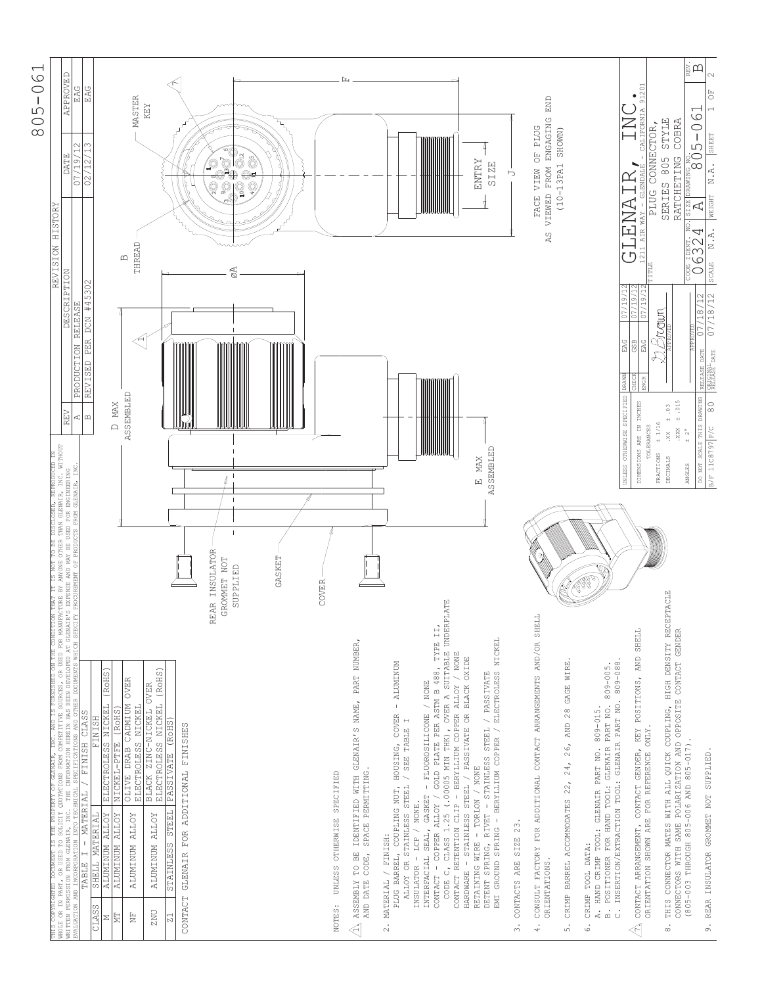

| REV<br>THIS COPRIGHTED DOCUMBNT IS THE PROPERTY OF CLENAIR, INC. AND IS FURNISHED ON THE CONDITION THAT IT IS NOT TO BE DISCLOSED, REPRODUCED IN<br>NHOLE OR IN PART, OR USED TO SOLICIT QUOTATIONS FROM COMPETITIVE SODRESS, OR USED FO               | APPROVED<br>EAG<br>07/19/12<br><b>DATE</b><br>HISTORY<br><b>REVISION</b><br><b>DESCRIPTION</b><br><b>RELEASE</b><br>PRODUCTION                                 |
|--------------------------------------------------------------------------------------------------------------------------------------------------------------------------------------------------------------------------------------------------------|----------------------------------------------------------------------------------------------------------------------------------------------------------------|
| r⊄∣m<br>FINISH CLASS<br>$-MATERIAL$<br>SHELL MATERIAL<br>$\vdash$<br>TABLE                                                                                                                                                                             | EAG<br>02/12/13<br>REVISED PER DCN #45302                                                                                                                      |
| MAX<br>$\Box$<br>(RoHS)<br>ELECTROLESS NICKEL<br><b>FINISH</b><br>NICKEL-PTFE<br><b>ALUMINUM ALLOY</b><br><b>ALUMINUM ALLOY</b><br>CLASS<br>Σ                                                                                                          |                                                                                                                                                                |
| <b>ASSEMBLED</b><br>OLIVE DRAB CADMIUM OVER<br>(ROHS)<br><b>ALUMINUM ALLOY</b><br>$\stackrel{\mathbb{L}}{\mathbb{Z}}$<br>ΣĒ                                                                                                                            | <b>MASTER</b><br>THREAD<br>$\mathbf{\Omega}$                                                                                                                   |
| <b>OVER</b><br>ELECTROLESS NICKEL<br>BLACK ZINC-NICKEL<br>ALUMINUM ALLOY<br>ZNU                                                                                                                                                                        | KEY                                                                                                                                                            |
| ELECTROLESS NICKEL (ROHS)<br>PASSIVATE (ROHS)<br>STAINLESS STEEL<br>$\rm Z1$                                                                                                                                                                           |                                                                                                                                                                |
| GLENAIR FOR ADDITIONAL FINISHES<br>CONTACT                                                                                                                                                                                                             |                                                                                                                                                                |
| l<br>REAR INSULATOR<br>GROMMET NOT<br>SUPPLIED                                                                                                                                                                                                         | ៓<br>$\mathbb{Q}^r$<br>ූ                                                                                                                                       |
| GASKET                                                                                                                                                                                                                                                 | ិ៍                                                                                                                                                             |
|                                                                                                                                                                                                                                                        |                                                                                                                                                                |
| COVER                                                                                                                                                                                                                                                  |                                                                                                                                                                |
| UNLESS OTHERWISE SPECIFIED<br>NOTES:                                                                                                                                                                                                                   |                                                                                                                                                                |
| PART NUMBER,<br>GLENAIR'S NAME,<br>SPACE PERMITTING.<br>MITH<br>IDENTIFIED<br>ASSEMBLY TO BE<br>AND DATE CODE,<br>$\lessdot$                                                                                                                           |                                                                                                                                                                |
| <b>ALUMINUM</b><br>PLUG BARREL, COUPLING NUT, HOUSING, COVER<br>ALLOY OR STAINLESS STEEL / SEE TABLE I<br>INSULATOR - LCP / NONE.<br>MATERIAL / FINISH:<br>$\sim$                                                                                      |                                                                                                                                                                |
| CODE C, CLASS 1.25 (.00005 MIN THK), OVER A SUITABLE UNDERPLATE<br>GOLD PLATE PER ASTM B 488, TYPE II,<br>CONTACT RETENTION CLIP - BERYLLIUM COPPER ALLOY / NONE<br>GASKET - FLUOROSILICONE / NONE<br>- COPPER ALLOY /<br>INTERFACIAL SEAL,<br>CONTACT |                                                                                                                                                                |
| <b>ASSEMBLED</b><br>E MAX<br>- BERYLLIUM COPPER / ELECTROLESS NICKEL<br>HARDWARE - STAINLESS STEEL / PASSIVATE OR BLACK OXIDE<br>DETENT SPRING, RIVET - STAINLESS STEEL / PASSIVATE<br>RETAINING WIRE - TORLON / NONE<br>EMI GROUND SPRING             | ENTRY<br><b>SIZE</b>                                                                                                                                           |
| CONTACTS ARE SIZE 23.<br>$\dot{\varepsilon}$                                                                                                                                                                                                           | ⋻                                                                                                                                                              |
| CONSULT FACTORY FOR ADDITIONAL CONTACT ARRANGEMENTS AND/OR SHELL<br>ORIENTATIONS.<br>$\ddot{4}$ .                                                                                                                                                      | END<br>VIEWED FROM ENGAGING<br>FACE VIEW OF PLUG<br>A <sub>S</sub>                                                                                             |
| WIRE<br>GAGE<br>$\geq 8$<br>26, AND<br>24,<br>22,<br>CRIMP BARREL ACCOMMODATES<br>$\dot{\circ}$                                                                                                                                                        | SHOWN)<br>$(10 - 13PA1$                                                                                                                                        |
| 809-088<br>809-005.<br>INSERTION/EXTRACTION TOOL: GLENAIR PART NO.<br>POSITIONER FOR HAND TOOL: GLENAIR PART NO.<br>A. HAND CRIMP TOOL: GLENAIR PART NO. 809-015.<br>CRIMP TOOL DATA:<br>$\dot{\mathbb{m}}$<br>$\ddot{\circ}$<br>.<br>0                |                                                                                                                                                                |
| UNLESS OTHERWISE SPECIFIED<br>DIMENSIONS ARE IN INCHES<br>CONTACT ARRANGEMENT, CONTACT GENDER, KEY POSITIONS, AND SHELL<br>ORIENTATION SHOWN ARE FOR REFERENCE ONLY.<br>$\ll$                                                                          | 9120<br>- CALIFORNIA<br>Œ<br>CANETS<br>AIR WAY<br>$-211$<br>07/19/<br>$\frac{9}{1}$<br>c)<br>5<br>EAG<br><b>esp</b><br>EAG<br>DRAWN                            |
| ± .015<br>$\pm$ 0.3<br>± 1/16<br><b>TOLERANCES</b><br>.888<br>XX.<br>FRACTIONS<br>DECIMALS<br>THIS CONNECTOR MATES WITH ALL QUICK COUPLING, HIGH DENSITY RECEPTACLE<br>$\dot{\circ}$                                                                   | <b>STYLE</b><br>COBRA<br>CONNECTOR,<br>RATCHETING<br>805<br>SERIES<br>PLUG<br>ITIE<br>Aroun                                                                    |
| DO NOT SCALE THIS DRAWING<br>$+2^{\circ}$<br>ANGLES<br>CONNECTORS WITH SAME POLARIZATION AND OPPOSITE CONTACT GENDER<br>THROUGH 805-006 AND 805-017)<br>$(805 - 003)$                                                                                  | $\sum\limits_{\mathbb{R}^N}$<br>59<br>$\circ$<br>$\overline{5}$<br>DRAWING NU.<br>  DRAWING NU.<br>A<br>4<br> <br> 32<br> <br>$\circ$<br>$\approx$<br>18/<br>5 |
| 80<br>B/F 11C8797 P/C<br>9. REAR INSULATOR GROMMET NOT SUPPLIED.                                                                                                                                                                                       | F)<br>SHEET<br>$\overline{a}$<br>ż<br>NEIGHT<br>ż<br>SCALE<br>$\frac{1}{2}$<br>$\sqrt{81}$<br>b.<br><b>DATE</b><br>DATE<br><b>RELEASE</b>                      |